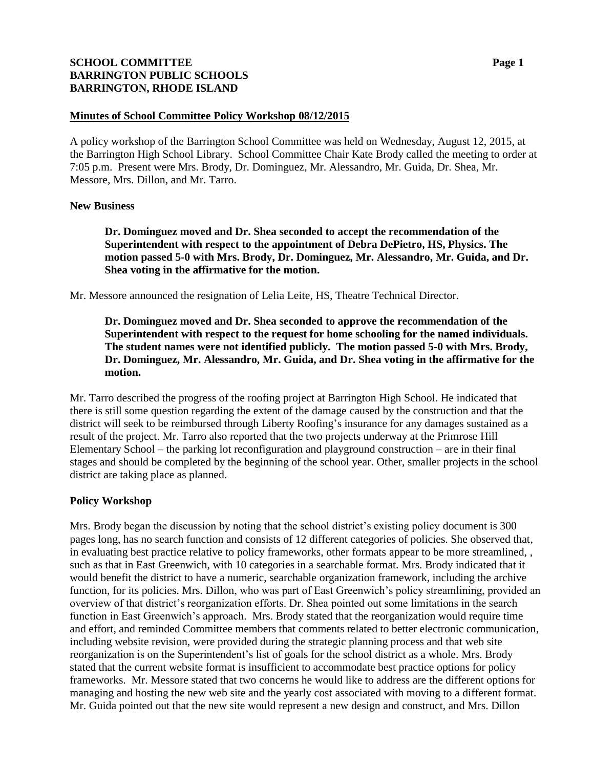# **SCHOOL COMMITTEE Page 1 BARRINGTON PUBLIC SCHOOLS BARRINGTON, RHODE ISLAND**

#### **Minutes of School Committee Policy Workshop 08/12/2015**

A policy workshop of the Barrington School Committee was held on Wednesday, August 12, 2015, at the Barrington High School Library. School Committee Chair Kate Brody called the meeting to order at 7:05 p.m. Present were Mrs. Brody, Dr. Dominguez, Mr. Alessandro, Mr. Guida, Dr. Shea, Mr. Messore, Mrs. Dillon, and Mr. Tarro.

## **New Business**

**Dr. Dominguez moved and Dr. Shea seconded to accept the recommendation of the Superintendent with respect to the appointment of Debra DePietro, HS, Physics. The motion passed 5-0 with Mrs. Brody, Dr. Dominguez, Mr. Alessandro, Mr. Guida, and Dr. Shea voting in the affirmative for the motion.** 

Mr. Messore announced the resignation of Lelia Leite, HS, Theatre Technical Director.

**Dr. Dominguez moved and Dr. Shea seconded to approve the recommendation of the Superintendent with respect to the request for home schooling for the named individuals. The student names were not identified publicly. The motion passed 5-0 with Mrs. Brody, Dr. Dominguez, Mr. Alessandro, Mr. Guida, and Dr. Shea voting in the affirmative for the motion.** 

Mr. Tarro described the progress of the roofing project at Barrington High School. He indicated that there is still some question regarding the extent of the damage caused by the construction and that the district will seek to be reimbursed through Liberty Roofing's insurance for any damages sustained as a result of the project. Mr. Tarro also reported that the two projects underway at the Primrose Hill Elementary School – the parking lot reconfiguration and playground construction – are in their final stages and should be completed by the beginning of the school year. Other, smaller projects in the school district are taking place as planned.

# **Policy Workshop**

Mrs. Brody began the discussion by noting that the school district's existing policy document is 300 pages long, has no search function and consists of 12 different categories of policies. She observed that, in evaluating best practice relative to policy frameworks, other formats appear to be more streamlined, , such as that in East Greenwich, with 10 categories in a searchable format. Mrs. Brody indicated that it would benefit the district to have a numeric, searchable organization framework, including the archive function, for its policies. Mrs. Dillon, who was part of East Greenwich's policy streamlining, provided an overview of that district's reorganization efforts. Dr. Shea pointed out some limitations in the search function in East Greenwich's approach. Mrs. Brody stated that the reorganization would require time and effort, and reminded Committee members that comments related to better electronic communication, including website revision, were provided during the strategic planning process and that web site reorganization is on the Superintendent's list of goals for the school district as a whole. Mrs. Brody stated that the current website format is insufficient to accommodate best practice options for policy frameworks. Mr. Messore stated that two concerns he would like to address are the different options for managing and hosting the new web site and the yearly cost associated with moving to a different format. Mr. Guida pointed out that the new site would represent a new design and construct, and Mrs. Dillon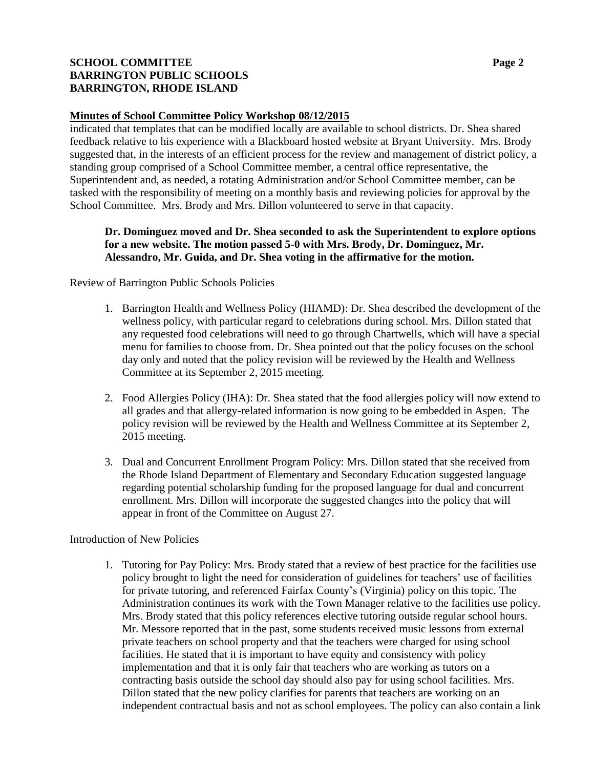# **SCHOOL COMMITTEE Page 2 BARRINGTON PUBLIC SCHOOLS BARRINGTON, RHODE ISLAND**

### **Minutes of School Committee Policy Workshop 08/12/2015**

indicated that templates that can be modified locally are available to school districts. Dr. Shea shared feedback relative to his experience with a Blackboard hosted website at Bryant University. Mrs. Brody suggested that, in the interests of an efficient process for the review and management of district policy, a standing group comprised of a School Committee member, a central office representative, the Superintendent and, as needed, a rotating Administration and/or School Committee member, can be tasked with the responsibility of meeting on a monthly basis and reviewing policies for approval by the School Committee. Mrs. Brody and Mrs. Dillon volunteered to serve in that capacity.

## **Dr. Dominguez moved and Dr. Shea seconded to ask the Superintendent to explore options for a new website. The motion passed 5-0 with Mrs. Brody, Dr. Dominguez, Mr. Alessandro, Mr. Guida, and Dr. Shea voting in the affirmative for the motion.**

Review of Barrington Public Schools Policies

- 1. Barrington Health and Wellness Policy (HIAMD): Dr. Shea described the development of the wellness policy, with particular regard to celebrations during school. Mrs. Dillon stated that any requested food celebrations will need to go through Chartwells, which will have a special menu for families to choose from. Dr. Shea pointed out that the policy focuses on the school day only and noted that the policy revision will be reviewed by the Health and Wellness Committee at its September 2, 2015 meeting.
- 2. Food Allergies Policy (IHA): Dr. Shea stated that the food allergies policy will now extend to all grades and that allergy-related information is now going to be embedded in Aspen. The policy revision will be reviewed by the Health and Wellness Committee at its September 2, 2015 meeting.
- 3. Dual and Concurrent Enrollment Program Policy: Mrs. Dillon stated that she received from the Rhode Island Department of Elementary and Secondary Education suggested language regarding potential scholarship funding for the proposed language for dual and concurrent enrollment. Mrs. Dillon will incorporate the suggested changes into the policy that will appear in front of the Committee on August 27.

#### Introduction of New Policies

1. Tutoring for Pay Policy: Mrs. Brody stated that a review of best practice for the facilities use policy brought to light the need for consideration of guidelines for teachers' use of facilities for private tutoring, and referenced Fairfax County's (Virginia) policy on this topic. The Administration continues its work with the Town Manager relative to the facilities use policy. Mrs. Brody stated that this policy references elective tutoring outside regular school hours. Mr. Messore reported that in the past, some students received music lessons from external private teachers on school property and that the teachers were charged for using school facilities. He stated that it is important to have equity and consistency with policy implementation and that it is only fair that teachers who are working as tutors on a contracting basis outside the school day should also pay for using school facilities. Mrs. Dillon stated that the new policy clarifies for parents that teachers are working on an independent contractual basis and not as school employees. The policy can also contain a link